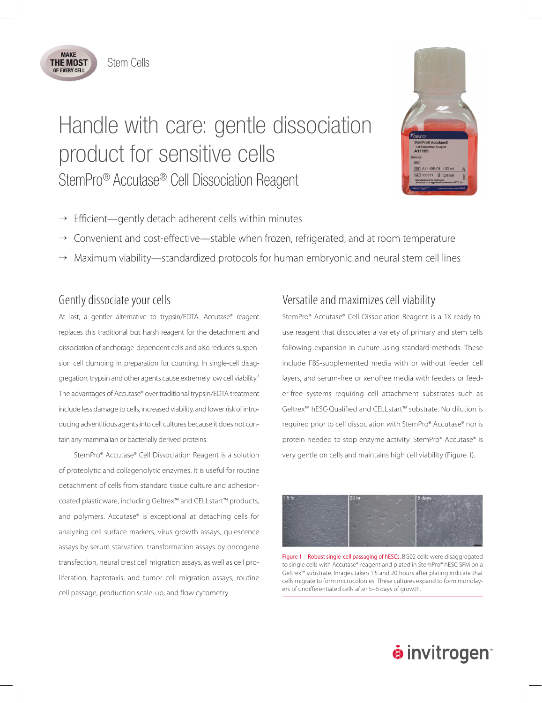

# Handle with care: gentle dissociation product for sensitive cells StemPro® Accutase® Cell Dissociation Reagent



- $\rightarrow$  Efficient—gently detach adherent cells within minutes
- $\rightarrow$  Convenient and cost-effective—stable when frozen, refrigerated, and at room temperature
- $\rightarrow$  Maximum viability—standardized protocols for human embryonic and neural stem cell lines

#### Gently dissociate your cells

At last, a gentler alternative to trypsin/EDTA. Accutase® reagent replaces this traditional but harsh reagent for the detachment and dissociation of anchorage-dependent cells and also reduces suspension cell clumping in preparation for counting. In single-cell disaggregation, trypsin and other agents cause extremely low cell viability.<sup>1</sup> The advantages of Accutase® over traditional trypsin/EDTA treatment include less damage to cells, increased viability, and lower risk of introducing adventitious agents into cell cultures because it does not contain any mammalian or bacterially derived proteins.

StemPro® Accutase® Cell Dissociation Reagent is a solution of proteolytic and collagenolytic enzymes. It is useful for routine detachment of cells from standard tissue culture and adhesioncoated plasticware, including Geltrex™ and CELLstart™ products, and polymers. Accutase® is exceptional at detaching cells for analyzing cell surface markers, virus growth assays, quiescence assays by serum starvation, transformation assays by oncogene transfection, neural crest cell migration assays, as well as cell proliferation, haptotaxis, and tumor cell migration assays, routine cell passage, production scale-up, and flow cytometry.

### Versatile and maximizes cell viability

StemPro® Accutase® Cell Dissociation Reagent is a 1X ready-touse reagent that dissociates a variety of primary and stem cells following expansion in culture using standard methods. These include FBS-supplemented media with or without feeder cell layers, and serum-free or xenofree media with feeders or feeder-free systems requiring cell attachment substrates such as Geltrex™ hESC-Qualified and CELLstart™ substrate. No dilution is required prior to cell dissociation with StemPro® Accutase® nor is protein needed to stop enzyme activity. StemPro® Accutase® is very gentle on cells and maintains high cell viability (Figure 1).



Figure 1—Robust single-cell passaging of hESCs. BG02 cells were disaggregated to single cells with Accutase® reagent and plated in StemPro® hESC SFM on a Geltrex™ substrate. Images taken 1.5 and 20 hours after plating indicate that cells migrate to form microcolonies. These cultures expand to form monolayers of undifferentiated cells after 5–6 days of growth.

## **O** invitrogen